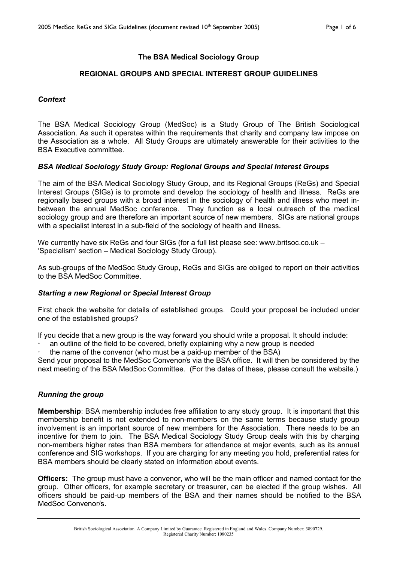# **The BSA Medical Sociology Group**

# **REGIONAL GROUPS AND SPECIAL INTEREST GROUP GUIDELINES**

### *Context*

The BSA Medical Sociology Group (MedSoc) is a Study Group of The British Sociological Association. As such it operates within the requirements that charity and company law impose on the Association as a whole. All Study Groups are ultimately answerable for their activities to the BSA Executive committee.

### *BSA Medical Sociology Study Group: Regional Groups and Special Interest Groups*

The aim of the BSA Medical Sociology Study Group, and its Regional Groups (ReGs) and Special Interest Groups (SIGs) is to promote and develop the sociology of health and illness. ReGs are regionally based groups with a broad interest in the sociology of health and illness who meet inbetween the annual MedSoc conference. They function as a local outreach of the medical sociology group and are therefore an important source of new members. SIGs are national groups with a specialist interest in a sub-field of the sociology of health and illness.

We currently have six ReGs and four SIGs (for a full list please see: www.britsoc.co.uk – 'Specialism' section – Medical Sociology Study Group).

As sub-groups of the MedSoc Study Group, ReGs and SIGs are obliged to report on their activities to the BSA MedSoc Committee.

#### *Starting a new Regional or Special Interest Group*

First check the website for details of established groups. Could your proposal be included under one of the established groups?

If you decide that a new group is the way forward you should write a proposal. It should include:

- an outline of the field to be covered, briefly explaining why a new group is needed
- the name of the convenor (who must be a paid-up member of the BSA)

Send your proposal to the MedSoc Convenor/s via the BSA office. It will then be considered by the next meeting of the BSA MedSoc Committee. (For the dates of these, please consult the website.)

### *Running the group*

**Membership**: BSA membership includes free affiliation to any study group. It is important that this membership benefit is not extended to non-members on the same terms because study group involvement is an important source of new members for the Association. There needs to be an incentive for them to join. The BSA Medical Sociology Study Group deals with this by charging non-members higher rates than BSA members for attendance at major events, such as its annual conference and SIG workshops. If you are charging for any meeting you hold, preferential rates for BSA members should be clearly stated on information about events.

**Officers:** The group must have a convenor, who will be the main officer and named contact for the group. Other officers, for example secretary or treasurer, can be elected if the group wishes. All officers should be paid-up members of the BSA and their names should be notified to the BSA MedSoc Convenor/s.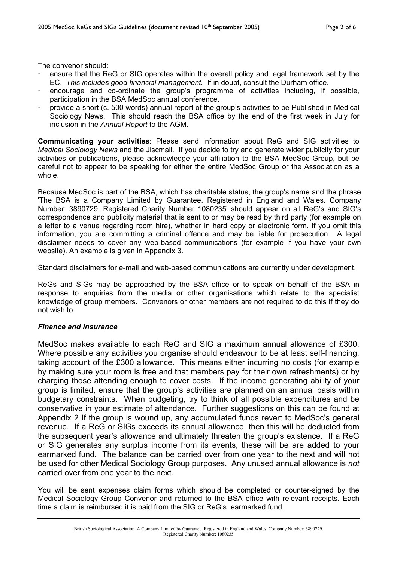The convenor should:

- x ensure that the ReG or SIG operates within the overall policy and legal framework set by the EC. *This includes good financial management.* If in doubt, consult the Durham office.
- encourage and co-ordinate the group's programme of activities including, if possible, participation in the BSA MedSoc annual conference.
- x provide a short (c. 500 words) annual report of the group's activities to be Published in Medical Sociology News. This should reach the BSA office by the end of the first week in July for inclusion in the *Annual Report* to the AGM.

**Communicating your activities**: Please send information about ReG and SIG activities to *Medical Sociology News* and the Jiscmail. If you decide to try and generate wider publicity for your activities or publications, please acknowledge your affiliation to the BSA MedSoc Group, but be careful not to appear to be speaking for either the entire MedSoc Group or the Association as a whole.

Because MedSoc is part of the BSA, which has charitable status, the group's name and the phrase 'The BSA is a Company Limited by Guarantee. Registered in England and Wales. Company Number: 3890729. Registered Charity Number 1080235' should appear on all ReG's and SIG's correspondence and publicity material that is sent to or may be read by third party (for example on a letter to a venue regarding room hire), whether in hard copy or electronic form. If you omit this information, you are committing a criminal offence and may be liable for prosecution. A legal disclaimer needs to cover any web-based communications (for example if you have your own website). An example is given in Appendix 3.

Standard disclaimers for e-mail and web-based communications are currently under development.

ReGs and SIGs may be approached by the BSA office or to speak on behalf of the BSA in response to enquiries from the media or other organisations which relate to the specialist knowledge of group members. Convenors or other members are not required to do this if they do not wish to.

# *Finance and insurance*

MedSoc makes available to each ReG and SIG a maximum annual allowance of £300. Where possible any activities you organise should endeavour to be at least self-financing, taking account of the £300 allowance. This means either incurring no costs (for example by making sure your room is free and that members pay for their own refreshments) or by charging those attending enough to cover costs. If the income generating ability of your group is limited, ensure that the group's activities are planned on an annual basis within budgetary constraints. When budgeting, try to think of all possible expenditures and be conservative in your estimate of attendance. Further suggestions on this can be found at Appendix 2 If the group is wound up, any accumulated funds revert to MedSoc's general revenue. If a ReG or SIGs exceeds its annual allowance, then this will be deducted from the subsequent year's allowance and ultimately threaten the group's existence. If a ReG or SIG generates any surplus income from its events, these will be are added to your earmarked fund. The balance can be carried over from one year to the next and will not be used for other Medical Sociology Group purposes. Any unused annual allowance is *not* carried over from one year to the next.

You will be sent expenses claim forms which should be completed or counter-signed by the Medical Sociology Group Convenor and returned to the BSA office with relevant receipts. Each time a claim is reimbursed it is paid from the SIG or ReG's earmarked fund.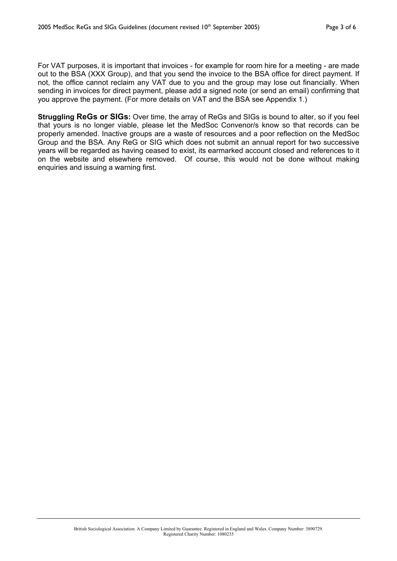For VAT purposes, it is important that invoices - for example for room hire for a meeting - are made out to the BSA (XXX Group), and that you send the invoice to the BSA office for direct payment. If not, the office cannot reclaim any VAT due to you and the group may lose out financially. When sending in invoices for direct payment, please add a signed note (or send an email) confirming that you approve the payment. (For more details on VAT and the BSA see Appendix 1.)

**Struggling ReGs or SIGs:** Over time, the array of ReGs and SIGs is bound to alter, so if you feel that yours is no longer viable, please let the MedSoc Convenor/s know so that records can be properly amended. Inactive groups are a waste of resources and a poor reflection on the MedSoc Group and the BSA. Any ReG or SIG which does not submit an annual report for two successive years will be regarded as having ceased to exist, its earmarked account closed and references to it on the website and elsewhere removed. Of course, this would not be done without making enquiries and issuing a warning first.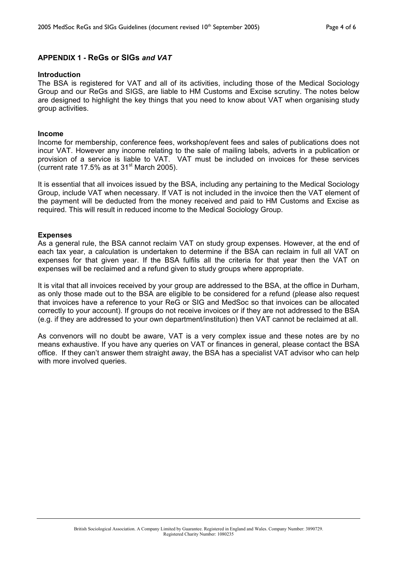### **APPENDIX 1** *-* **ReGs or SIGs** *and VAT*

#### **Introduction**

The BSA is registered for VAT and all of its activities, including those of the Medical Sociology Group and our ReGs and SIGS, are liable to HM Customs and Excise scrutiny. The notes below are designed to highlight the key things that you need to know about VAT when organising study group activities.

#### **Income**

Income for membership, conference fees, workshop/event fees and sales of publications does not incur VAT. However any income relating to the sale of mailing labels, adverts in a publication or provision of a service is liable to VAT. VAT must be included on invoices for these services (current rate 17.5% as at  $31<sup>st</sup>$  March 2005).

It is essential that all invoices issued by the BSA, including any pertaining to the Medical Sociology Group, include VAT when necessary. If VAT is not included in the invoice then the VAT element of the payment will be deducted from the money received and paid to HM Customs and Excise as required. This will result in reduced income to the Medical Sociology Group.

#### **Expenses**

As a general rule, the BSA cannot reclaim VAT on study group expenses. However, at the end of each tax year, a calculation is undertaken to determine if the BSA can reclaim in full all VAT on expenses for that given year. If the BSA fulfils all the criteria for that year then the VAT on expenses will be reclaimed and a refund given to study groups where appropriate.

It is vital that all invoices received by your group are addressed to the BSA, at the office in Durham, as only those made out to the BSA are eligible to be considered for a refund (please also request that invoices have a reference to your ReG or SIG and MedSoc so that invoices can be allocated correctly to your account). If groups do not receive invoices or if they are not addressed to the BSA (e.g. if they are addressed to your own department/institution) then VAT cannot be reclaimed at all.

As convenors will no doubt be aware, VAT is a very complex issue and these notes are by no means exhaustive. If you have any queries on VAT or finances in general, please contact the BSA office. If they can't answer them straight away, the BSA has a specialist VAT advisor who can help with more involved queries.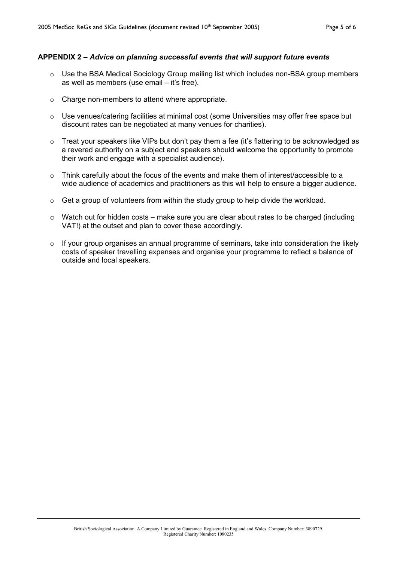#### **APPENDIX 2 –** *Advice on planning successful events that will support future events*

- o Use the BSA Medical Sociology Group mailing list which includes non-BSA group members as well as members (use email – it's free).
- o Charge non-members to attend where appropriate.
- $\circ$  Use venues/catering facilities at minimal cost (some Universities may offer free space but discount rates can be negotiated at many venues for charities).
- o Treat your speakers like VIPs but don't pay them a fee (it's flattering to be acknowledged as a revered authority on a subject and speakers should welcome the opportunity to promote their work and engage with a specialist audience).
- $\circ$  Think carefully about the focus of the events and make them of interest/accessible to a wide audience of academics and practitioners as this will help to ensure a bigger audience.
- o Get a group of volunteers from within the study group to help divide the workload.
- $\circ$  Watch out for hidden costs make sure you are clear about rates to be charged (including VAT!) at the outset and plan to cover these accordingly.
- $\circ$  If your group organises an annual programme of seminars, take into consideration the likely costs of speaker travelling expenses and organise your programme to reflect a balance of outside and local speakers.